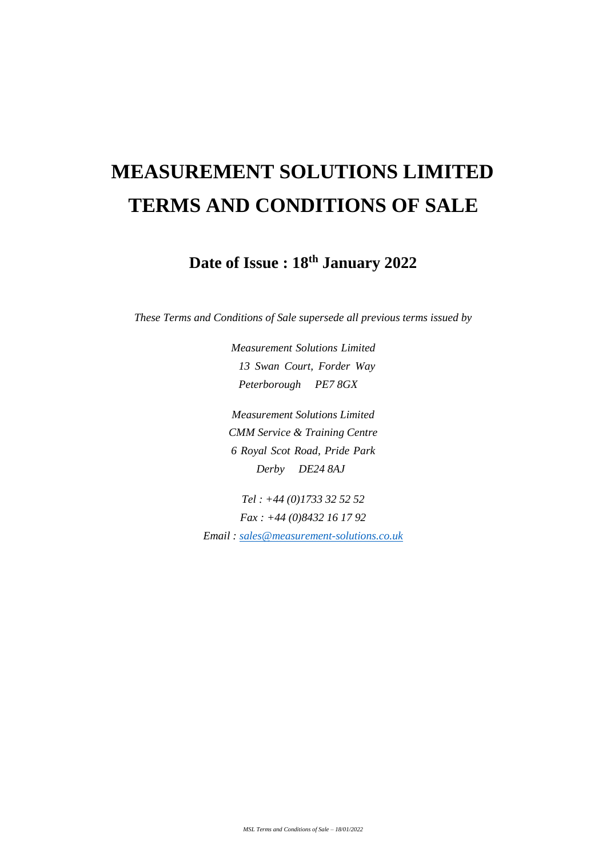# **MEASUREMENT SOLUTIONS LIMITED TERMS AND CONDITIONS OF SALE**

**Date of Issue : 18th January 2022**

*These Terms and Conditions of Sale supersede all previous terms issued by* 

*Measurement Solutions Limited 13 Swan Court, Forder Way Peterborough PE7 8GX* 

*Measurement Solutions Limited CMM Service & Training Centre 6 Royal Scot Road, Pride Park Derby DE24 8AJ* 

*Tel : +44 (0)1733 32 52 52 Fax : +44 (0)8432 16 17 92 Email : [sales@measurement-solutions.co.uk](mailto:sales@measurement-solutions.co.uk)*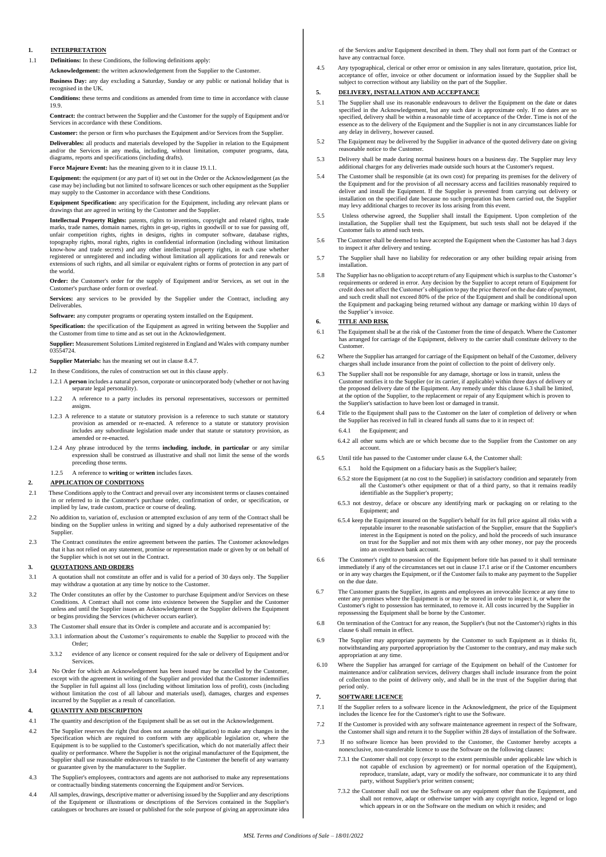### **1. INTERPRETATION**

1.1 **Definitions:** In these Conditions, the following definitions apply:

**Acknowledgement:** the written acknowledgement from the Supplier to the Customer.

**Business Day:** any day excluding a Saturday, Sunday or any public or national holiday that is recognised in the UK.

**Conditions:** these terms and conditions as amended from time to time in accordance with clause 19.9.

**Contract:** the contract between the Supplier and the Customer for the supply of Equipment and/or Services in accordance with these Conditions.

**Customer:** the person or firm who purchases the Equipment and/or Services from the Supplier.

**Deliverables:** all products and materials developed by the Supplier in relation to the Equipment and/or the Services in any media, including, without limitation, computer programs, data, diagrams, reports and specifications (including drafts).

**Force Majeure Event:** has the meaning given to it in clause 19.1.1.

**Equipment:** the equipment (or any part of it) set out in the Order or the Acknowledgement (as the case may be) including but not limited to software licences or such other equipment as the Supplier may supply to the Customer in accordance with these Conditions.

**Equipment Specification:** any specification for the Equipment, including any relevant plans or drawings that are agreed in writing by the Customer and the Supplier.

**Intellectual Property Rights:** patents, rights to inventions, copyright and related rights, trade marks, trade names, domain names, rights in get-up, rights in goodwill or to sue for passing off, unfair competition rights, rights in designs, rights in computer software, database rights, topography rights, moral rights, rights in confidential information (including without limitation know-how and trade secrets) and any other intellectual property rights, in each case whether registered or unregistered and including without limitation all applications for and renewals or extensions of such rights, and all similar or equivalent rights or forms of protection in any part of the world.

**Order:** the Customer's order for the supply of Equipment and/or Services, as set out in the Customer's purchase order form or overleaf.

**Services:** any services to be provided by the Supplier under the Contract, including any Deliverables.

**Software:** any computer programs or operating system installed on the Equipment.

**Specification:** the specification of the Equipment as agreed in writing between the Supplier and the Customer from time to time and as set out in the Acknowledgement.

**Supplier:** Measurement Solutions Limited registered in England and Wales with company number 03554724.

**Supplier Materials:** has the meaning set out in clause 8.4.7.

- 1.2 In these Conditions, the rules of construction set out in this clause apply.
	- 1.2.1 A **person** includes a natural person, corporate or unincorporated body (whether or not having separate legal personality).
	- 1.2.2 A reference to a party includes its personal representatives, successors or permitted assigns.
	- 1.2.3 A reference to a statute or statutory provision is a reference to such statute or statutory provision as amended or re-enacted. A reference to a statute or statutory provision includes any subordinate legislation made under that statute or statutory provision, as amended or re-enacted.
	- 1.2.4 Any phrase introduced by the terms **including**, **include**, **in particular** or any similar expression shall be construed as illustrative and shall not limit the sense of the words preceding those terms.
	- 1.2.5 A reference to **writing** or **written** includes faxes.

### **2. APPLICATION OF CONDITIONS**

- 2.1 These Conditions apply to the Contract and prevail over any inconsistent terms or clauses contained in or referred to in the Customer's purchase order, confirmation of order, or specification, or implied by law, trade custom, practice or course of dealing.
- 2.2 No addition to, variation of, exclusion or attempted exclusion of any term of the Contract shall be binding on the Supplier unless in writing and signed by a duly authorised representative of the Supplier.
- 2.3 The Contract constitutes the entire agreement between the parties. The Customer acknowledges that it has not relied on any statement, promise or representation made or given by or on behalf of the Supplier which is not set out in the Contract.

#### **3. QUOTATIONS AND ORDERS**

- 3.1 A quotation shall not constitute an offer and is valid for a period of 30 days only. The Supplier may withdraw a quotation at any time by notice to the Customer.
- 3.2 The Order constitutes an offer by the Customer to purchase Equipment and/or Services on these Conditions. A Contract shall not come into existence between the Supplier and the Customer unless and until the Supplier issues an Acknowledgement or the Supplier delivers the Equipment or begins providing the Services (whichever occurs earlier).
- 3.3 The Customer shall ensure that its Order is complete and accurate and is accompanied by: 3.3.1 information about the Customer's requirements to enable the Supplier to proceed with the Order;
	- 3.3.2 evidence of any licence or consent required for the sale or delivery of Equipment and/or Services.
- 3.4 No Order for which an Acknowledgement has been issued may be cancelled by the Customer, except with the agreement in writing of the Supplier and provided that the Customer indemnifies the Supplier in full against all loss (including without limitation loss of profit), costs (including without limitation the cost of all labour and materials used), damages, charges and expenses incurred by the Supplier as a result of cancellation.

## **4. QUANTITY AND DESCRIPTION**

- 4.1 The quantity and description of the Equipment shall be as set out in the Acknowledgement.
- 4.2 The Supplier reserves the right (but does not assume the obligation) to make any changes in the Specification which are required to conform with any applicable legislation or, where the Equipment is to be supplied to the Customer's specification, which do not materially affect their quality or performance. Where the Supplier is not the original manufacturer of the Equipment, the Supplier shall use reasonable endeavours to transfer to the Customer the benefit of any warranty or guarantee given by the manufacturer to the Supplier.
- 4.3 The Supplier's employees, contractors and agents are not authorised to make any representations or contractually binding statements concerning the Equipment and/or Services.
- 4.4 All samples, drawings, descriptive matter or advertising issued by the Supplier and any descriptions of the Equipment or illustrations or descriptions of the Services contained in the Supplier's catalogues or brochures are issued or published for the sole purpose of giving an approximate idea

of the Services and/or Equipment described in them. They shall not form part of the Contract or have any contractual force.

4.5 Any typographical, clerical or other error or omission in any sales literature, quotation, price list, acceptance of offer, invoice or other document or information issued by the Supplier shall be subject to correction without any liability on the part of the Supplier.

# **5. DELIVERY, INSTALLATION AND ACCEPTANCE**

- 5.1 The Supplier shall use its reasonable endeavours to deliver the Equipment on the date or dates specified in the Acknowledgement, but any such date is approximate only. If no dates are so specified, delivery shall be within a reasonable time of acceptance of the Order. Time is not of the essence as to the delivery of the Equipment and the Supplier is not in any circumstances liable for any delay in delivery, however cause
- 5.2 The Equipment may be delivered by the Supplier in advance of the quoted delivery date on giving reasonable notice to the Customer.
- 5.3 Delivery shall be made during normal business hours on a business day. The Supplier may levy additional charges for any deliveries made outside such hours at the Customer's request.
- 5.4 The Customer shall be responsible (at its own cost) for preparing its premises for the delivery of the Equipment and for the provision of all necessary access and facilities reasonably required to deliver and install the Equipment. If the Supplier is prevented from carrying out delivery or installation on the specified date because no such preparation has been carried out, the Supplier may levy additional charges to recover its loss arising from this event.
- 5.5 Unless otherwise agreed, the Supplier shall install the Equipment. Upon completion of the installation, the Supplier shall test the Equipment, but such tests shall not be delayed if the Customer fails to attend such tests.
- 5.6 The Customer shall be deemed to have accepted the Equipment when the Customer has had 3 days to inspect it after delivery and testing.
- 5.7 The Supplier shall have no liability for redecoration or any other building repair arising from installation.
- 5.8 The Supplier has no obligation to accept return of any Equipment which is surplus to the Customer's requirements or ordered in error. Any decision by the Supplier to accept return of Equipment for credit does not affect the Customer's obligation to pay the price thereof on the due date of payment, and such credit shall not exceed 80% of the price of the Equipment and shall be conditional upon the Equipment and packaging being returned without any damage or marking within 10 days of the Supplier's invoice.

## **6. TITLE AND RISK**

- 6.1 The Equipment shall be at the risk of the Customer from the time of despatch. Where the Customer has arranged for carriage of the Equipment, delivery to the carrier shall constitute delivery to the Customer.
- 6.2 Where the Supplier has arranged for carriage of the Equipment on behalf of the Customer, delivery charges shall include insurance from the point of collection to the point of delivery only.
- 6.3 The Supplier shall not be responsible for any damage, shortage or loss in transit, unless the Customer notifies it to the Supplier (or its carrier, if applicable) within three days of delivery or the proposed delivery date of the Equipment. Any remedy under this clause 6.3 shall be limited, at the option of the Supplier, to the replacement or repair of any Equipment which is proven to the Supplier's satisfaction to have been lost or damaged in transit.
- 6.4 Title to the Equipment shall pass to the Customer on the later of completion of delivery or when the Supplier has received in full in cleared funds all sums due to it in respect of:
	- 6.4.1 the Equipment; and
	- 6.4.2 all other sums which are or which become due to the Supplier from the Customer on any account.
- 6.5 Until title has passed to the Customer under clause 6.4, the Customer shall:
	- 6.5.1 hold the Equipment on a fiduciary basis as the Supplier's bailee;
	- 6.5.2 store the Equipment (at no cost to the Supplier) in satisfactory condition and separately from all the Customer's other equipment or that of a third party, so that it remains readily identifiable as the Supplier's property;
	- 6.5.3 not destroy, deface or obscure any identifying mark or packaging on or relating to the Equipment; and
	- 6.5.4 keep the Equipment insured on the Supplier's behalf for its full price against all risks with a reputable insurer to the reasonable satisfaction of the Supplier, ensure that the Supplier's interest in the Equipment is noted on the policy, and hold the proceeds of such insurance<br>on trust for the Supplier and not mix them with any other money, nor pay the proceeds on trust for the Supplier and not mix them with any other mo into an overdrawn bank account.
- 6.6 The Customer's right to possession of the Equipment before title has passed to it shall terminate immediately if any of the circumstances set out in clause 17.1 arise or if the Customer encumbers or in any way charges the Equipment, or if the Customer fails to make any payment to the Supplier on the due date.
- 6.7 The Customer grants the Supplier, its agents and employees an irrevocable licence at any time to enter any premises where the Equipment is or may be stored in order to inspect it, or where the Customer's right to possession has terminated, to remove it. All costs incurred by the Supplier in repossessing the Equipment shall be borne by the Customer.
- 6.8 On termination of the Contract for any reason, the Supplier's (but not the Customer's) rights in this clause 6 shall remain in effect.
- 6.9 The Supplier may appropriate payments by the Customer to such Equipment as it thinks fit, notwithstanding any purported appropriation by the Customer to the contrary, and may make such appropriation at any time.
- 6.10 Where the Supplier has arranged for carriage of the Equipment on behalf of the Customer for maintenance and/or calibration services, delivery charges shall include insurance from the point of collection to the point of delivery only, and shall be in the trust of the Supplier during that period only.

#### **7. SOFTWARE LICENCE**

- 7.1 If the Supplier refers to a software licence in the Acknowledgment, the price of the Equipment includes the licence fee for the Customer's right to use the Software.
- 7.2 If the Customer is provided with any software maintenance agreement in respect of the Software, the Customer shall sign and return it to the Supplier within 28 days of installation of the Software.
- 7.3 If no software licence has been provided to the Customer, the Customer hereby accepts a nonexclusive, non-transferable licence to use the Software on the following clauses:
	- 7.3.1 the Customer shall not copy (except to the extent permissible under applicable law which is not capable of exclusion by agreement) or for normal operation of the Equipment), reproduce, translate, adapt, vary or modify the software, nor communicate it to any third party, without Supplier's prior written consent;
	- 7.3.2 the Customer shall not use the Software on any equipment other than the Equipment, and shall not remove, adapt or otherwise tamper with any copyright notice, legend or logo which appears in or on the Software on the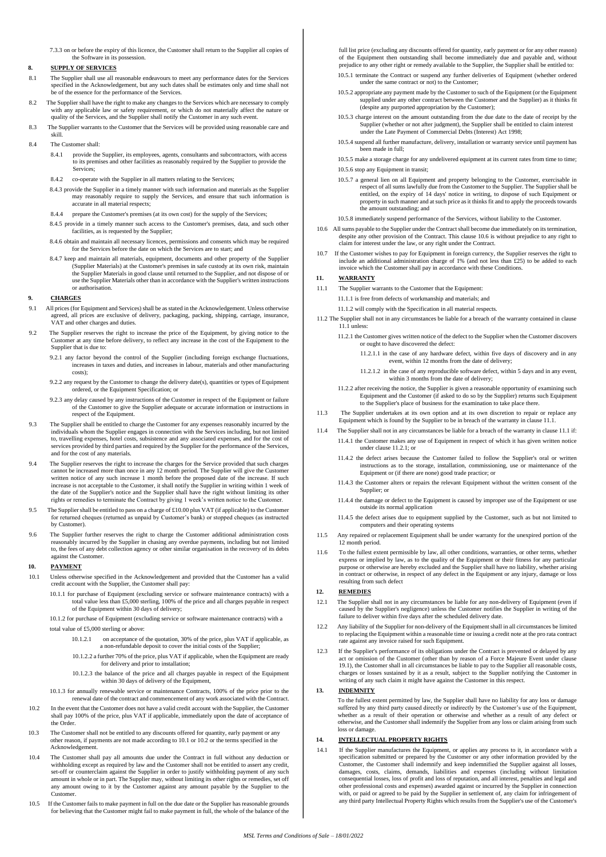7.3.3 on or before the expiry of this licence, the Customer shall return to the Supplier all copies of the Software in its possession.

# **8. SUPPLY OF SERVICES**

- 8.1 The Supplier shall use all reasonable endeavours to meet any performance dates for the Services specified in the Acknowledgement, but any such dates shall be estimates only and time shall not be of the essence for the performance of the Services.
- 8.2 The Supplier shall have the right to make any changes to the Services which are necessary to comply with any applicable law or safety requirement, or which do not materially affect the nature or quality of the Services, and the Supplier shall notify the Customer in any such event.
- 8.3 The Supplier warrants to the Customer that the Services will be provided using reasonable care and skill.
- 8.4 The Customer shall:
	- 8.4.1 provide the Supplier, its employees, agents, consultants and subcontractors, with access to its premises and other facilities as reasonably required by the Supplier to provide the Services;
	- 8.4.2 co-operate with the Supplier in all matters relating to the Services;
	- 8.4.3 provide the Supplier in a timely manner with such information and materials as the Supplier may reasonably require to supply the Services, and ensure that such information is accurate in all material respects;
	- 8.4.4 prepare the Customer's premises (at its own cost) for the supply of the Services;
	- 8.4.5 provide in a timely manner such access to the Customer's premises, data, and such other
	- facilities, as is requested by the Supplier; 8.4.6 obtain and maintain all necessary licences, permissions and consents which may be required for the Services before the date on which the Services are to start; and
	- 8.4.7 keep and maintain all materials, equipment, documents and other property of the Supplier (Supplier Materials) at the Customer's premises in safe custody at its own risk, maintain the Supplier Materials in good clause until returned to the Supplier, and not dispose of or use the Supplier Materials other than in accordance with the Supplier's written instructions or authorisation.

### **9. CHARGES**

- 9.1 All prices (for Equipment and Services) shall be as stated in the Acknowledgement. Unless otherwise agreed, all prices are exclusive of delivery, packaging, packing, shipping, carriage, insurance, VAT and other charges and duties.
- 9.2 The Supplier reserves the right to increase the price of the Equipment, by giving notice to the Customer at any time before delivery, to reflect any increase in the cost of the Equipment to the Supplier that is due to:
	- 9.2.1 any factor beyond the control of the Supplier (including foreign exchange fluctuations, increases in taxes and duties, and increases in labour, materials and other manufacturing costs);
	- 9.2.2 any request by the Customer to change the delivery date(s), quantities or types of Equipment ordered, or the Equipment Specification; or
	- 9.2.3 any delay caused by any instructions of the Customer in respect of the Equipment or failure of the Customer to give the Supplier adequate or accurate information or instructions in respect of the Equipment.
- 9.3 The Supplier shall be entitled to charge the Customer for any expenses reasonably incurred by the individuals whom the Supplier engages in connection with the Services including, but not limited to, travelling expenses, hotel costs, subsistence and any associated expenses, and for the cost of services provided by third parties and required by the Supplier for the performance of the Services, and for the cost of any materials.
- 9.4 The Supplier reserves the right to increase the charges for the Service provided that such charges cannot be increased more than once in any 12 month period. The Supplier will give the Customer written notice of any such increase 1 month before the proposed date of the increase. If such increase is not acceptable to the Customer, it shall notify the Supplier in writing within 1 week of the date of the Supplier's notice and the Supplier shall have the right without limiting its other rights or remedies to terminate the Contract by giving 1 week's written notice to the Customer.
- 9.5 The Supplier shall be entitled to pass on a charge of £10.00 plus VAT (if applicable) to the Customer for returned cheques (returned as unpaid by Customer's bank) or stopped cheques (as instructed by Customer).
- 9.6 The Supplier further reserves the right to charge the Customer additional administration costs reasonably incurred by the Supplier in chasing any overdue payments, including but not limited to, the fees of any debt collection agency or other similar organisation in the recovery of its debts against the Customer.

#### **10. PAYMENT**

- 10.1 Unless otherwise specified in the Acknowledgement and provided that the Customer has a valid credit account with the Supplier, the Customer shall pay:
	- 10.1.1 for purchase of Equipment (excluding service or software maintenance contracts) with a total value less than £5,000 sterling, 100% of the price and all charges payable in respect of the Equipment within 30 days of delivery;

10.1.2 for purchase of Equipment (excluding service or software maintenance contracts) with a total value of £5,000 sterling or above:

- 10.1.2.1 on acceptance of the quotation, 30% of the price, plus VAT if applicable, as a non-refundable deposit to cover the initial costs of the Supplier;
- 10.1.2.2 a further 70% of the price, plus VAT if applicable, when the Equipment are ready for delivery and prior to installation;
- 10.1.2.3 the balance of the price and all charges payable in respect of the Equipment within 30 days of delivery of the Equipment,
- 10.1.3 for annually renewable service or maintenance Contracts, 100% of the price prior to the renewal date of the contract and commencement of any work associated with the Contract.
- 10.2 In the event that the Customer does not have a valid credit account with the Supplier, the Customer shall pay 100% of the price, plus VAT if applicable, immediately upon the date of acceptance of the Order.
- 10.3 The Customer shall not be entitled to any discounts offered for quantity, early payment or any other reason, if payments are not made according to 10.1 or 10.2 or the terms specified in the Acknowledgem
- 10.4 The Customer shall pay all amounts due under the Contract in full without any deduction or withholding except as required by law and the Customer shall not be entitled to assert any credit, set-off or counterclaim against the Supplier in order to justify withholding payment of any such amount in whole or in part. The Supplier may, without limiting its other rights or remedies, set off any amount owing to it by the Customer against any amount payable by the Supplier to the Customer.
- 10.5 If the Customer fails to make payment in full on the due date or the Supplier has reasonable grounds for believing that the Customer might fail to make payment in full, the whole of the balance of the

full list price (excluding any discounts offered for quantity, early payment or for any other reason) of the Equipment then outstanding shall become immediately due and payable and, without prejudice to any other right or remedy available to the Supplier, the Supplier shall be entitled to: 10.5.1 terminate the Contract or suspend any further deliveries of Equipment (whether ordered

- under the same contract or not) to the Customer;
- 10.5.2 appropriate any payment made by the Customer to such of the Equipment (or the Equipment supplied under any other contract between the Customer and the Supplier) as it thinks fit (despite any purported appropriation by the Customer);
- 10.5.3 charge interest on the amount outstanding from the due date to the date of receipt by the Supplier (whether or not after judgment), the Supplier shall be entitled to claim interest under the Late Payment of Commercial Debts (Interest) Act 1998;
- 10.5.4 suspend all further manufacture, delivery, installation or warranty service until payment has been made in full;
- 10.5.5 make a storage charge for any undelivered equipment at its current rates from time to time; 10.5.6 stop any Equipment in transit;
- 10.5.7 a general lien on all Equipment and property belonging to the Customer, exercisable in respect of all sums lawfully due from the Customer to the Supplier. The Supplier shall be entitled, on the expiry of 14 days' notice in writing, to dispose of such Equipment or property in such manner and at such price as it thinks fit and to apply the proceeds towards the amount outstanding; and
- 10.5.8 immediately suspend performance of the Services, without liability to the Customer.
- 10.6 All sums payable to the Supplier under the Contract shall become due immediately on its termination, despite any other provision of the Contract. This clause 10.6 is without prejudice to any right to claim for interest under the law, or any right under the Contract.
- 10.7 If the Customer wishes to pay for Equipment in foreign currency, the Supplier reserves the right to include an additional administration charge of 1% (and not less than £25) to be added to each invoice which the Customer shall pay in accordance with these Conditions.

#### **11. WARRANTY**

- 11.1 The Supplier warrants to the Customer that the Equipment:
	- 11.1.1 is free from defects of workmanship and materials; and
		- 11.1.2 will comply with the Specification in all material respects.
- 11.2 The Supplier shall not in any circumstances be liable for a breach of the warranty contained in clause 11.1 unless:
	- 11.2.1 the Customer gives written notice of the defect to the Supplier when the Customer discovers or ought to have discovered the defect:
		- 11.2.1.1 in the case of any hardware defect, within five days of discovery and in any event, within 12 months from the date of delivery;
		- 11.2.1.2 in the case of any reproducible software defect, within 5 days and in any event, within 3 months from the date of delivery;
	- 11.2.2 after receiving the notice, the Supplier is given a reasonable opportunity of examining such Equipment and the Customer (if asked to do so by the Supplier) returns such Equipment to the Supplier's place of business for the examination to take place there.
- 11.3 The Supplier undertakes at its own option and at its own discretion to repair or replace any Equipment which is found by the Supplier to be in breach of the warranty in clause 11.1.
- 11.4 The Supplier shall not in any circumstances be liable for a breach of the warranty in clause 11.1 if: 11.4.1 the Customer makes any use of Equipment in respect of which it has given written notice under clause 11.2.1; or
	- 11.4.2 the defect arises because the Customer failed to follow the Supplier's oral or written instructions as to the storage, installation, commissioning, use or maintenance of the Equipment or (if there are none) good trade practice; or
	- 11.4.3 the Customer alters or repairs the relevant Equipment without the written consent of the Supplier; or
	- 11.4.4 the damage or defect to the Equipment is caused by improper use of the Equipment or use outside its normal application
	- 11.4.5 the defect arises due to equipment supplied by the Customer, such as but not limited to computers and their operating systems
- 11.5 Any repaired or replacement Equipment shall be under warranty for the unexpired portion of the 12 month period.
- 11.6 To the fullest extent permissible by law, all other conditions, warranties, or other terms, whether express or implied by law, as to the quality of the Equipment or their fitness for any particular purpose or otherwise are hereby excluded and the Supplier shall have no liability, whether arising in contract or otherwise, in respect of any defect in the Equipment or any injury, damage or loss resulting from such defect

#### **12. REMEDIES**

- 12.1 The Supplier shall not in any circumstances be liable for any non-delivery of Equipment (even if caused by the Supplier's negligence) unless the Customer notifies the Supplier in writing of the failure to deliver within five days after the scheduled delivery date.
- 12.2 Any liability of the Supplier for non-delivery of the Equipment shall in all circumstances be limited to replacing the Equipment within a reasonable time or issuing a credit note at the pro rata contract rate against any invoice raised for such Equipment.
- 12.3 If the Supplier's performance of its obligations under the Contract is prevented or delayed by any act or omission of the Customer (other than by reason of a Force Majeure Event under clause 19.1), the Customer shall in all circumstances be liable to pay to the Supplier all reasonable costs, charges or losses sustained by it as a result, subject to the Supplier notifying the Customer in writing of any such claim it might have against the Customer in this respect.

# **13. INDEMNITY**

To the fullest extent permitted by law, the Supplier shall have no liability for any loss or damage suffered by any third party caused directly or indirectly by the Customer's use of the Equipment, whether as a result of their operation or otherwise and whether as a result of any defect or otherwise, and the Customer shall indemnify the Supplier from any loss or claim arising from such loss or damage.

# **14. INTELLECTUAL PROPERTY RIGHTS**

14.1 If the Supplier manufactures the Equipment, or applies any process to it, in accordance with a specification submitted or prepared by the Customer or any other information provided by the Customer, the Customer shall indemnify and keep indemnified the Supplier against all losses, damages, costs, claims, demands, liabilities and expenses (including without limitation consequential losses, loss of profit and loss of reputation, and all interest, penalties and legal and other professional costs and expenses) awarded against or incurred by the Supplier in connection with, or paid or agreed to be paid by the Supplier in settlement of, any claim for infringement of any third party Intellectual Property Rights which results from the Supplier's use of the Customer's any third party Intellectual Property Rights which results from the Supplier's use of the Customer's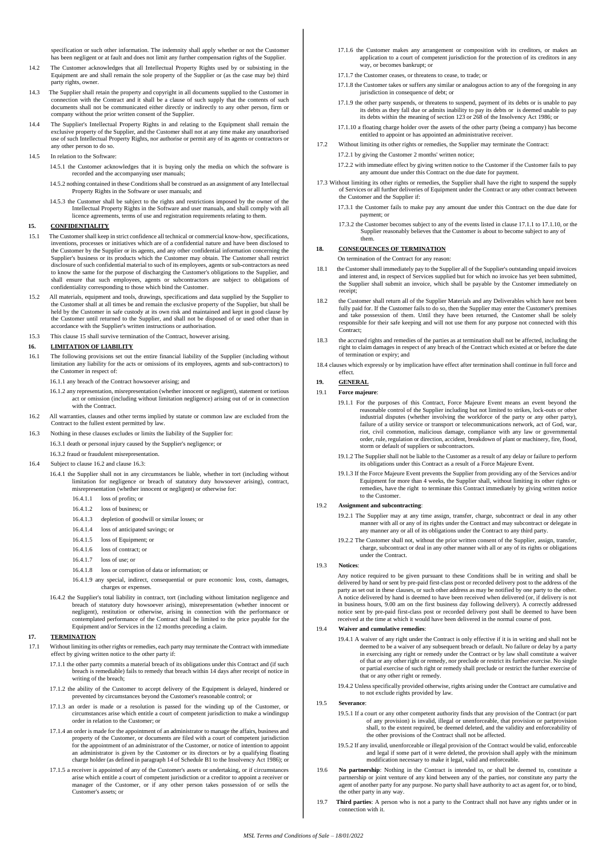specification or such other information. The indemnity shall apply whether or not the Customer has been negligent or at fault and does not limit any further compensation rights of the Supplier.

- 14.2 The Customer acknowledges that all Intellectual Property Rights used by or subsisting in the Equipment are and shall remain the sole property of the Supplier or (as the case may be) third party rights, owner.
- 14.3 The Supplier shall retain the property and copyright in all documents supplied to the Customer in connection with the Contract and it shall be a clause of such supply that the contents of such documents shall not be communicated either directly or indirectly to any other person, firm or company without the prior written consent of the Supplier.
- 14.4 The Supplier's Intellectual Property Rights in and relating to the Equipment shall remain the exclusive property of the Supplier, and the Customer shall not at any time make any unauthorised use of such Intellectual Property Rights, nor authorise or permit any of its agents or contractors or any other person to do so.
- 14.5 In relation to the Software:

14.5.1 the Customer acknowledges that it is buying only the media on which the software is recorded and the accompanying user manuals;

- 14.5.2 nothing contained in these Conditions shall be construed as an assignment of any Intellectual Property Rights in the Software or user manuals; and
- 14.5.3 the Customer shall be subject to the rights and restrictions imposed by the owner of the Intellectual Property Rights in the Software and user manuals, and shall comply with all licence agreements, terms of use and registration requirements relating to them.

# **15. CONFIDENTIALITY**

- 15.1 The Customer shall keep in strict confidence all technical or commercial know-how, specifications, inventions, processes or initiatives which are of a confidential nature and have been disclosed to the Customer by the Supplier or its agents, and any other confidential information concerning the Supplier's business or its products which the Customer may obtain. The Customer shall restrict disclosure of such confidential material to such of its employees, agents or sub-contractors as need to know the same for the purpose of discharging the Customer's obligations to the Supplier, and shall ensure that such employees, agents or subcontractors are subject to obligations of confidentiality corresponding to those which bind the Customer.
- 15.2 All materials, equipment and tools, drawings, specifications and data supplied by the Supplier to the Customer shall at all times be and remain the exclusive property of the Supplier, but shall be held by the Customer in safe custody at its own risk and maintained and kept in good clause by the Customer until returned to the Supplier, and shall not be disposed of or used other than in accordance with the Supplier's written instructions or authorisation.
- 15.3 This clause 15 shall survive termination of the Contract, however arising.

# **16. LIMITATION OF LIABILITY**

- 16.1 The following provisions set out the entire financial liability of the Supplier (including without limitation any liability for the acts or omissions of its employees, agents and sub-contractors) to the Customer in respect of:
	- 16.1.1 any breach of the Contract howsoever arising; and
	- 16.1.2 any representation, misrepresentation (whether innocent or negligent), statement or tortious act or omission (including without limitation negligence) arising out of or in connection with the Contract.
- 16.2 All warranties, clauses and other terms implied by statute or common law are excluded from the Contract to the fullest extent permitted by law.
- 16.3 Nothing in these clauses excludes or limits the liability of the Supplier for: 16.3.1 death or personal injury caused by the Supplier's negligence; or
	- 16.3.2 fraud or fraudulent misrepresentation.
- 16.4 Subject to clause 16.2 and clause 16.3:
	- 16.4.1 the Supplier shall not in any circumstances be liable, whether in tort (including without limitation for negligence or breach of statutory duty howsoever arising), contract, misrepresentation (whether innocent or negligent) or otherwise for:
		- 16.4.1.1 loss of profits; or
		- 16.4.1.2 loss of business; or
		- 16.4.1.3 depletion of goodwill or similar losses; or
		- 16.4.1.4 loss of anticipated savings; or
		- 16.4.1.5 loss of Equipment; or
		- 16.4.1.6 loss of contract; or
		- 16.4.1.7 loss of use; or
		- 16.4.1.8 loss or corruption of data or information; or
		- 16.4.1.9 any special, indirect, consequential or pure economic loss, costs, damages, charges or expenses.
	- 16.4.2 the Supplier's total liability in contract, tort (including without limitation negligence and breach of statutory duty howsoever arising), misrepresentation (whether innocent or negligent), restitution or otherwise, arising in connection with the performance or contemplated performance of the Contract shall be limited to the price payable for the Equipment and/or Services in the 12 months preceding a claim.

# **17. TERMINATION**

- 17.1 Without limiting its other rights or remedies, each party may terminate the Contract with immediate effect by giving written notice to the other party if:
	- 17.1.1 the other party commits a material breach of its obligations under this Contract and (if such breach is remediable) fails to remedy that breach within 14 days after receipt of notice in writing of the breach;
	- 17.1.2 the ability of the Customer to accept delivery of the Equipment is delayed, hindered or prevented by circumstances beyond the Customer's reasonable control; or prevented by circumstances beyond the Customer's reason
	- 17.1.3 an order is made or a resolution is passed for the winding up of the Customer, or circumstances arise which entitle a court of competent jurisdiction to make a windingup order in relation to the Customer; or
	- 17.1.4 an order is made for the appointment of an administrator to manage the affairs, business and property of the Customer, or documents are filed with a court of competent jurisdiction for the appointment of an administrator of the Customer, or notice of intention to appoint an administrator is given by the Customer or its directors or by a qualifying floating charge holder (as defined in paragraph 14 of Schedule B1 to the Insolvency Act 1986); or
	- 17.1.5 a receiver is appointed of any of the Customer's assets or undertaking, or if circumstances arise which entitle a court of competent jurisdiction or a creditor to appoint a receiver or manager of the Customer, or if any other person takes possession of or sells the Customer's assets; or
- 17.1.6 the Customer makes any arrangement or composition with its creditors, or makes an application to a court of competent jurisdiction for the protection of its creditors in any way, or becomes bankrupt; or
- 17.1.7 the Customer ceases, or threatens to cease, to trade; or
- 17.1.8 the Customer takes or suffers any similar or analogous action to any of the foregoing in any jurisdiction in consequence of debt; or
- 17.1.9 the other party suspends, or threatens to suspend, payment of its debts or is unable to pay its debts as they fall due or admits inability to pay its debts or is deemed unable to pay its debts within the meaning of section 123 or 268 of the Insolvency Act 1986; or
- 17.1.10 a floating charge holder over the assets of the other party (being a company) has become entitled to appoint or has appointed an administrative receiver.
- 17.2 Without limiting its other rights or remedies, the Supplier may terminate the Contract: 17.2.1 by giving the Customer 2 months' written notice;
	- 17.2.2 with immediate effect by giving written notice to the Customer if the Customer fails to pay any amount due under this Contract on the due date for payment.
- 17.3 Without limiting its other rights or remedies, the Supplier shall have the right to suspend the supply of Services or all further deliveries of Equipment under the Contract or any other contract between the Customer and the Supplier if:
	- 17.3.1 the Customer fails to make pay any amount due under this Contract on the due date for payment; or
	- 17.3.2 the Customer becomes subject to any of the events listed in clause 17.1.1 to 17.1.10, or the Supplier reasonably believes that the Customer is about to become subject to any of them.

# **18. CONSEQUENCES OF TERMINATION**

- On termination of the Contract for any reason:
- 18.1 the Customer shall immediately pay to the Supplier all of the Supplier's outstanding unpaid invoices and interest and, in respect of Services supplied but for which no invoice has yet been submitted, the Supplier shall submit an invoice, which shall be payable by the Customer immediately on receipt;
- 18.2 the Customer shall return all of the Supplier Materials and any Deliverables which have not been fully paid for. If the Customer fails to do so, then the Supplier may enter the Customer's premises and take possession of them. Until they have been returned, the Customer shall be solely responsible for their safe keeping and will not use them for any purpose not connected with this Contract:
- 18.3 the accrued rights and remedies of the parties as at termination shall not be affected, including the right to claim damages in respect of any breach of the Contract which existed at or before the date of termination or expiry; and
- 18.4 clauses which expressly or by implication have effect after termination shall continue in full force and effect.

#### **19. GENERAL**

- 19.1 **Force majeure**:
	- 19.1.1 For the purposes of this Contract, Force Majeure Event means an event beyond the reasonable control of the Supplier including but not limited to strikes, lock-outs or other industrial disputes (whether involving the workforce of the party or any other party), failure of a utility service or transport or telecommunications network, act of God, war, riot, civil commotion, malicious damage, compliance with any law or governmental order, rule, regulation or direction, accident, breakdown of plant or machinery, fire, flood, storm or default of suppliers or subcontractors.
	- 19.1.2 The Supplier shall not be liable to the Customer as a result of any delay or failure to perform its obligations under this Contract as a result of a Force Majeure Event.
	- 19.1.3 If the Force Majeure Event prevents the Supplier from providing any of the Services and/or Equipment for more than 4 weeks, the Supplier shall, without limiting its other rights or remedies, have the right to terminate this Contract immediately by giving written notice to the Customer.

## 19.2 **Assignment and subcontracting**:

- 19.2.1 The Supplier may at any time assign, transfer, charge, subcontract or deal in any other manner with all or any of its rights under the Contract and may subcontract or delegate in any manner any or all of its obligations under the Contract to any third party.
- 19.2.2 The Customer shall not, without the prior written consent of the Supplier, assign, transfer, charge, subcontract or deal in any other manner with all or any of its rights or obligations under the Contract.

#### 19.3 **Notices**:

Any notice required to be given pursuant to these Conditions shall be in writing and shall be delivered by hand or sent by pre-paid first-class post or recorded delivery post to the address of the party as set out in these clauses, or such other address as may be notified by one party to the other. A notice delivered by hand is deemed to have been received when delivered (or, if delivery is not in business hours, 9.00 am on the first business day following delivery). A correctly addressed notice sent by pre-paid first-class post or recorded delivery post shall be deemed to have been received at the time at which it would have been delivered in the normal course of post.

# 19.4 **Waiver and cumulative remedies**:

19.4.1 A waiver of any right under the Contract is only effective if it is in writing and shall not be deemed to be a waiver of any subsequent breach or default. No failure or delay by a party in exercising any right or remedy under the Contract or by law shall constitute a waiver of that or any other right or remedy, nor preclude or restrict its further exercise. No single or partial exercise of such right or remedy shall preclude or restrict the further exercise of that or any other right or remedy.

19.4.2 Unless specifically provided otherwise, rights arising under the Contract are cumulative and to not exclude rights provided by law.

### 19.5 **Severance**:

- 19.5.1 If a court or any other competent authority finds that any provision of the Contract (or part of any provision) is invalid, illegal or unenforceable, that provision or partprovision shall, to the extent required, be deemed deleted, and the validity and enforceability of the other provisions of the Contract shall not be affected.
- 19.5.2 If any invalid, unenforceable or illegal provision of the Contract would be valid, enforceable and legal if some part of it were deleted, the provision shall apply with the minimum modification necessary to make it legal, valid and enforceable.
- 19.6 **No partnership**: Nothing in the Contract is intended to, or shall be deemed to, constitute a partnership or joint venture of any kind between any of the parties, nor constitute any party the agent of another party for any purpose. No party shall have authority to act as agent for, or to bind, the other party in any way.
- 19.7 **Third parties**: A person who is not a party to the Contract shall not have any rights under or in connection with it.